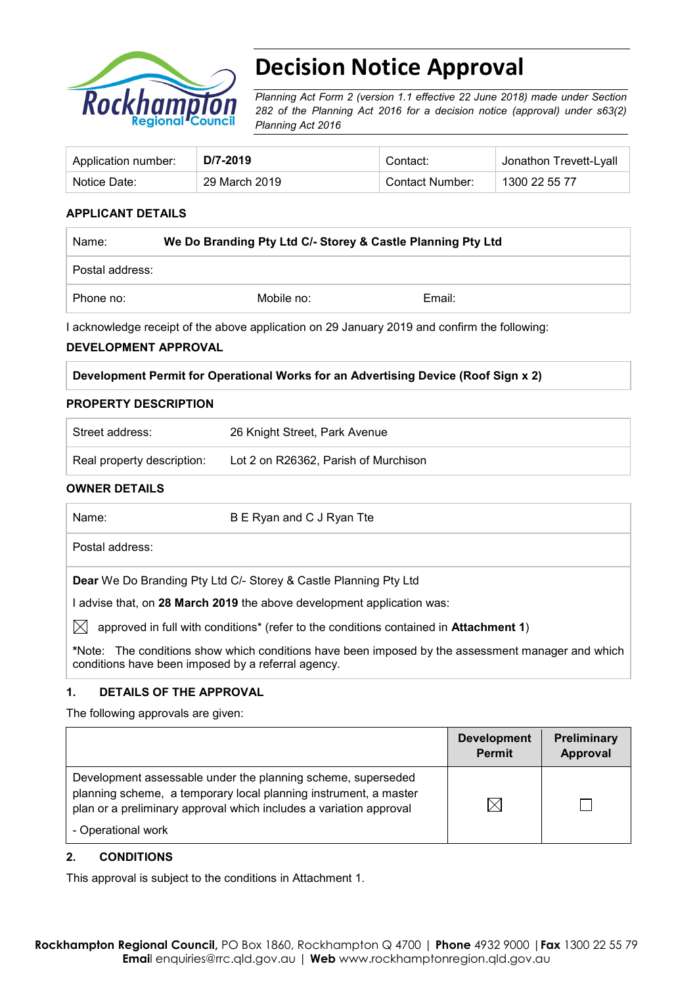

# **Decision Notice Approval**

*Planning Act Form 2 (version 1.1 effective 22 June 2018) made under Section 282 of the Planning Act 2016 for a decision notice (approval) under s63(2) Planning Act 2016*

| Application number: | D/7-2019      | Contact∵        | Jonathon Trevett-Lyall |
|---------------------|---------------|-----------------|------------------------|
| Notice Date:        | 29 March 2019 | Contact Number: | 1300 22 55 77          |

### **APPLICANT DETAILS**

| Name:           | We Do Branding Pty Ltd C/- Storey & Castle Planning Pty Ltd |        |  |
|-----------------|-------------------------------------------------------------|--------|--|
| Postal address: |                                                             |        |  |
| Phone no:       | Mobile no:                                                  | Email: |  |

I acknowledge receipt of the above application on 29 January 2019 and confirm the following:

#### **DEVELOPMENT APPROVAL**

#### **PROPERTY DESCRIPTION**

| Street address:            | 26 Knight Street, Park Avenue        |
|----------------------------|--------------------------------------|
| Real property description: | Lot 2 on R26362, Parish of Murchison |

#### **OWNER DETAILS**

| Name:                                              | B E Ryan and C J Ryan Tte                                                                         |
|----------------------------------------------------|---------------------------------------------------------------------------------------------------|
| Postal address:                                    |                                                                                                   |
|                                                    | <b>Dear</b> We Do Branding Pty Ltd C/- Storey & Castle Planning Pty Ltd                           |
|                                                    | advise that, on 28 March 2019 the above development application was:                              |
| IXI                                                | approved in full with conditions* (refer to the conditions contained in Attachment 1)             |
| conditions have been imposed by a referral agency. | *Note: The conditions show which conditions have been imposed by the assessment manager and which |
|                                                    |                                                                                                   |

### **1. DETAILS OF THE APPROVAL**

The following approvals are given:

|                                                                                                                                                                                                                              | <b>Development</b><br><b>Permit</b> | Preliminary<br>Approval |
|------------------------------------------------------------------------------------------------------------------------------------------------------------------------------------------------------------------------------|-------------------------------------|-------------------------|
| Development assessable under the planning scheme, superseded<br>planning scheme, a temporary local planning instrument, a master<br>plan or a preliminary approval which includes a variation approval<br>- Operational work | $\boxtimes$                         |                         |

#### **2. CONDITIONS**

This approval is subject to the conditions in Attachment 1.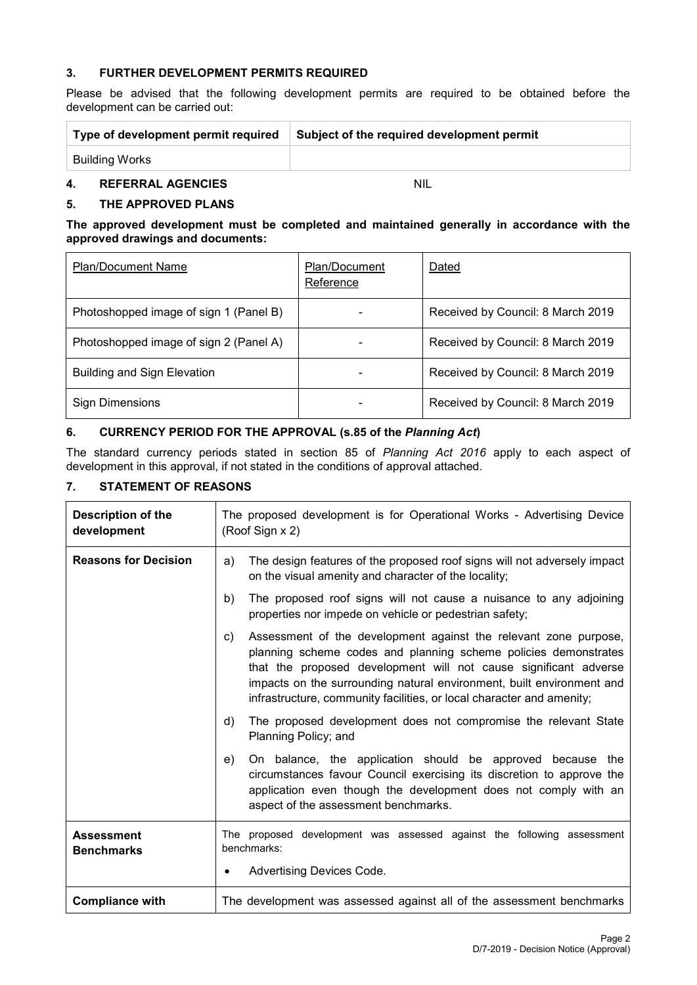### **3. FURTHER DEVELOPMENT PERMITS REQUIRED**

Please be advised that the following development permits are required to be obtained before the development can be carried out:

| Type of development permit required | Subject of the required development permit |
|-------------------------------------|--------------------------------------------|
| Building Works                      |                                            |
|                                     |                                            |

## **4. REFERRAL AGENCIES** NIL

#### **5. THE APPROVED PLANS**

#### **The approved development must be completed and maintained generally in accordance with the approved drawings and documents:**

| <b>Plan/Document Name</b>              | Plan/Document<br>Reference | Dated                             |
|----------------------------------------|----------------------------|-----------------------------------|
| Photoshopped image of sign 1 (Panel B) |                            | Received by Council: 8 March 2019 |
| Photoshopped image of sign 2 (Panel A) |                            | Received by Council: 8 March 2019 |
| <b>Building and Sign Elevation</b>     |                            | Received by Council: 8 March 2019 |
| <b>Sign Dimensions</b>                 |                            | Received by Council: 8 March 2019 |

## **6. CURRENCY PERIOD FOR THE APPROVAL (s.85 of the** *Planning Act***)**

The standard currency periods stated in section 85 of *Planning Act 2016* apply to each aspect of development in this approval, if not stated in the conditions of approval attached.

### **7. STATEMENT OF REASONS**

| Description of the<br>development      | The proposed development is for Operational Works - Advertising Device<br>(Roof Sign x 2)                                                                                                                                                                                                                                                                       |  |  |
|----------------------------------------|-----------------------------------------------------------------------------------------------------------------------------------------------------------------------------------------------------------------------------------------------------------------------------------------------------------------------------------------------------------------|--|--|
| <b>Reasons for Decision</b>            | The design features of the proposed roof signs will not adversely impact<br>a)<br>on the visual amenity and character of the locality;                                                                                                                                                                                                                          |  |  |
|                                        | The proposed roof signs will not cause a nuisance to any adjoining<br>b)<br>properties nor impede on vehicle or pedestrian safety;                                                                                                                                                                                                                              |  |  |
|                                        | Assessment of the development against the relevant zone purpose,<br>C)<br>planning scheme codes and planning scheme policies demonstrates<br>that the proposed development will not cause significant adverse<br>impacts on the surrounding natural environment, built environment and<br>infrastructure, community facilities, or local character and amenity; |  |  |
|                                        | d)<br>The proposed development does not compromise the relevant State<br>Planning Policy; and                                                                                                                                                                                                                                                                   |  |  |
|                                        | On balance, the application should be approved because the<br>e)<br>circumstances favour Council exercising its discretion to approve the<br>application even though the development does not comply with an<br>aspect of the assessment benchmarks.                                                                                                            |  |  |
| <b>Assessment</b><br><b>Benchmarks</b> | The proposed development was assessed against the following assessment<br>benchmarks:<br>Advertising Devices Code.<br>٠                                                                                                                                                                                                                                         |  |  |
| <b>Compliance with</b>                 | The development was assessed against all of the assessment benchmarks                                                                                                                                                                                                                                                                                           |  |  |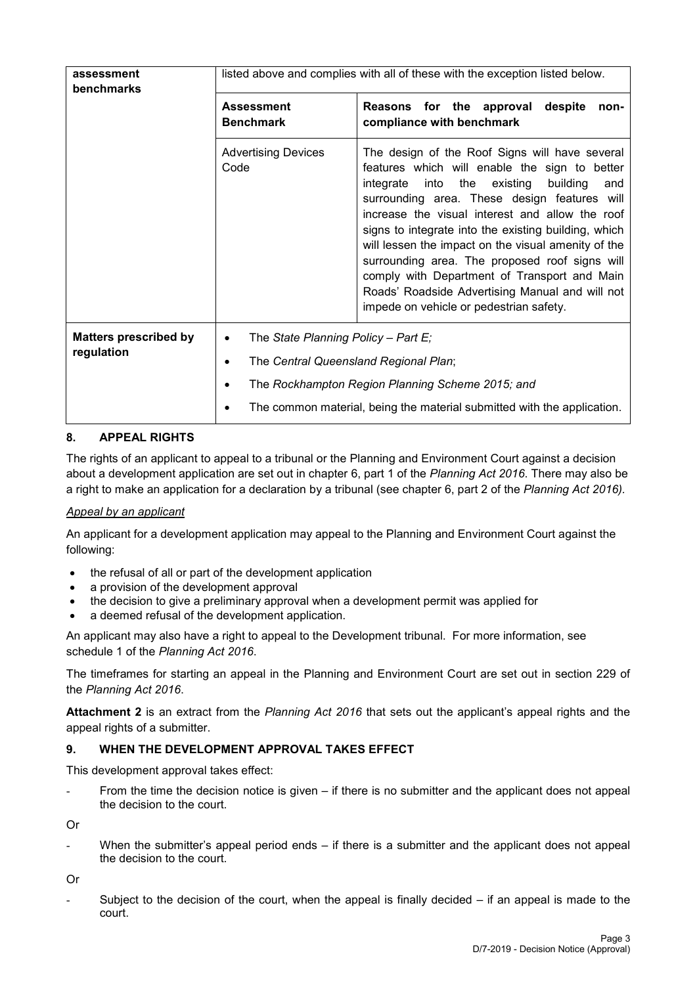| assessment<br>benchmarks                   | listed above and complies with all of these with the exception listed below.         |                                                                                                                                                                                                                                                                                                                                                                                                                                                                                                                                                                     |  |
|--------------------------------------------|--------------------------------------------------------------------------------------|---------------------------------------------------------------------------------------------------------------------------------------------------------------------------------------------------------------------------------------------------------------------------------------------------------------------------------------------------------------------------------------------------------------------------------------------------------------------------------------------------------------------------------------------------------------------|--|
|                                            | <b>Assessment</b><br><b>Benchmark</b>                                                | Reasons for the approval<br>despite<br>non-<br>compliance with benchmark                                                                                                                                                                                                                                                                                                                                                                                                                                                                                            |  |
|                                            | <b>Advertising Devices</b><br>Code                                                   | The design of the Roof Signs will have several<br>features which will enable the sign to better<br>integrate into the existing<br>building<br>and<br>surrounding area. These design features will<br>increase the visual interest and allow the roof<br>signs to integrate into the existing building, which<br>will lessen the impact on the visual amenity of the<br>surrounding area. The proposed roof signs will<br>comply with Department of Transport and Main<br>Roads' Roadside Advertising Manual and will not<br>impede on vehicle or pedestrian safety. |  |
| <b>Matters prescribed by</b><br>regulation | The State Planning Policy - Part $E_i$<br>٠<br>The Central Queensland Regional Plan; |                                                                                                                                                                                                                                                                                                                                                                                                                                                                                                                                                                     |  |
|                                            |                                                                                      | The Rockhampton Region Planning Scheme 2015; and<br>The common material, being the material submitted with the application.                                                                                                                                                                                                                                                                                                                                                                                                                                         |  |

## **8. APPEAL RIGHTS**

The rights of an applicant to appeal to a tribunal or the Planning and Environment Court against a decision about a development application are set out in chapter 6, part 1 of the *Planning Act 2016*. There may also be a right to make an application for a declaration by a tribunal (see chapter 6, part 2 of the *Planning Act 2016).*

#### *Appeal by an applicant*

An applicant for a development application may appeal to the Planning and Environment Court against the following:

- the refusal of all or part of the development application
- a provision of the development approval
- the decision to give a preliminary approval when a development permit was applied for
- a deemed refusal of the development application.

An applicant may also have a right to appeal to the Development tribunal. For more information, see schedule 1 of the *Planning Act 2016*.

The timeframes for starting an appeal in the Planning and Environment Court are set out in section 229 of the *Planning Act 2016*.

**Attachment 2** is an extract from the *Planning Act 2016* that sets out the applicant's appeal rights and the appeal rights of a submitter.

#### **9. WHEN THE DEVELOPMENT APPROVAL TAKES EFFECT**

This development approval takes effect:

From the time the decision notice is given – if there is no submitter and the applicant does not appeal the decision to the court.

Or

When the submitter's appeal period ends  $-$  if there is a submitter and the applicant does not appeal the decision to the court.

Or

Subject to the decision of the court, when the appeal is finally decided  $-$  if an appeal is made to the court.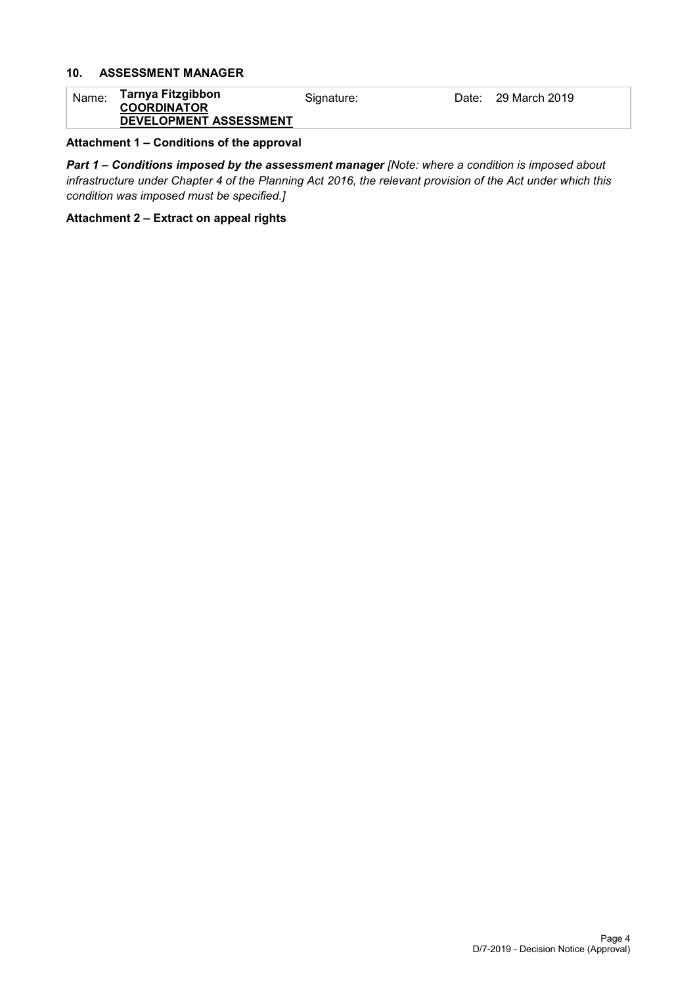## **10. ASSESSMENT MANAGER**

| Name: | Tarnya Fitzgibbon<br><b>COORDINATOR</b> | Signature: | Date: 29 March 2019 |
|-------|-----------------------------------------|------------|---------------------|
|       | <b>DEVELOPMENT ASSESSMENT</b>           |            |                     |

#### **Attachment 1 – Conditions of the approval**

*Part 1* **–** *Conditions imposed by the assessment manager [Note: where a condition is imposed about infrastructure under Chapter 4 of the Planning Act 2016, the relevant provision of the Act under which this condition was imposed must be specified.]*

#### **Attachment 2 – Extract on appeal rights**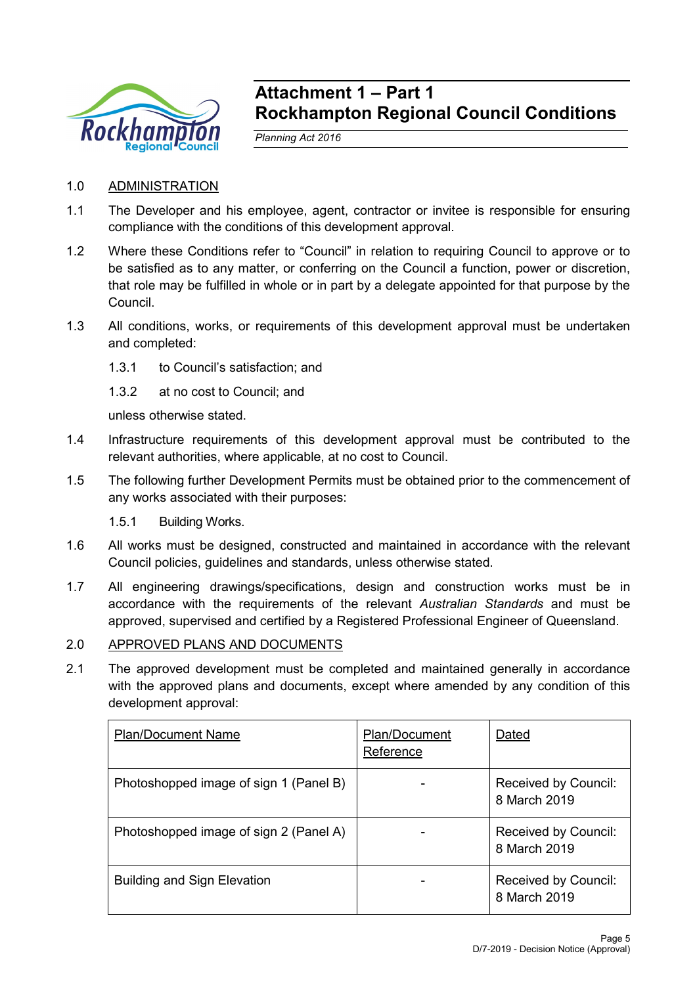

## **Attachment 1 – Part 1 Rockhampton Regional Council Conditions**

*Planning Act 2016*

## 1.0 ADMINISTRATION

- 1.1 The Developer and his employee, agent, contractor or invitee is responsible for ensuring compliance with the conditions of this development approval.
- 1.2 Where these Conditions refer to "Council" in relation to requiring Council to approve or to be satisfied as to any matter, or conferring on the Council a function, power or discretion, that role may be fulfilled in whole or in part by a delegate appointed for that purpose by the Council.
- 1.3 All conditions, works, or requirements of this development approval must be undertaken and completed:
	- 1.3.1 to Council's satisfaction; and
	- 1.3.2 at no cost to Council; and

unless otherwise stated.

- 1.4 Infrastructure requirements of this development approval must be contributed to the relevant authorities, where applicable, at no cost to Council.
- 1.5 The following further Development Permits must be obtained prior to the commencement of any works associated with their purposes:
	- 1.5.1 Building Works.
- 1.6 All works must be designed, constructed and maintained in accordance with the relevant Council policies, guidelines and standards, unless otherwise stated.
- 1.7 All engineering drawings/specifications, design and construction works must be in accordance with the requirements of the relevant *Australian Standards* and must be approved, supervised and certified by a Registered Professional Engineer of Queensland.

## 2.0 APPROVED PLANS AND DOCUMENTS

2.1 The approved development must be completed and maintained generally in accordance with the approved plans and documents, except where amended by any condition of this development approval:

| <b>Plan/Document Name</b>              | Plan/Document<br>Reference | Dated                                       |
|----------------------------------------|----------------------------|---------------------------------------------|
| Photoshopped image of sign 1 (Panel B) |                            | Received by Council:<br>8 March 2019        |
| Photoshopped image of sign 2 (Panel A) |                            | <b>Received by Council:</b><br>8 March 2019 |
| <b>Building and Sign Elevation</b>     |                            | Received by Council:<br>8 March 2019        |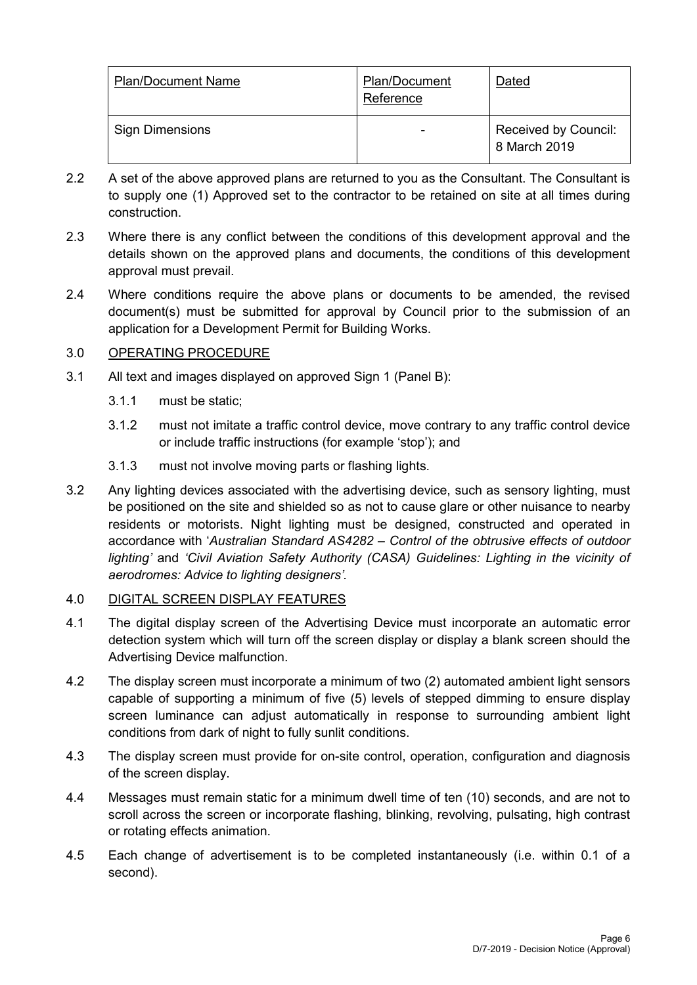| <b>Plan/Document Name</b> | Plan/Document<br>Reference | Dated                                |
|---------------------------|----------------------------|--------------------------------------|
| <b>Sign Dimensions</b>    |                            | Received by Council:<br>8 March 2019 |

- 2.2 A set of the above approved plans are returned to you as the Consultant. The Consultant is to supply one (1) Approved set to the contractor to be retained on site at all times during construction.
- 2.3 Where there is any conflict between the conditions of this development approval and the details shown on the approved plans and documents, the conditions of this development approval must prevail.
- 2.4 Where conditions require the above plans or documents to be amended, the revised document(s) must be submitted for approval by Council prior to the submission of an application for a Development Permit for Building Works.

## 3.0 OPERATING PROCEDURE

- 3.1 All text and images displayed on approved Sign 1 (Panel B):
	- 3.1.1 must be static;
	- 3.1.2 must not imitate a traffic control device, move contrary to any traffic control device or include traffic instructions (for example 'stop'); and
	- 3.1.3 must not involve moving parts or flashing lights.
- 3.2 Any lighting devices associated with the advertising device, such as sensory lighting, must be positioned on the site and shielded so as not to cause glare or other nuisance to nearby residents or motorists. Night lighting must be designed, constructed and operated in accordance with '*Australian Standard AS4282 – Control of the obtrusive effects of outdoor lighting'* and *'Civil Aviation Safety Authority (CASA) Guidelines: Lighting in the vicinity of aerodromes: Advice to lighting designers'.*

## 4.0 DIGITAL SCREEN DISPLAY FEATURES

- 4.1 The digital display screen of the Advertising Device must incorporate an automatic error detection system which will turn off the screen display or display a blank screen should the Advertising Device malfunction.
- 4.2 The display screen must incorporate a minimum of two (2) automated ambient light sensors capable of supporting a minimum of five (5) levels of stepped dimming to ensure display screen luminance can adjust automatically in response to surrounding ambient light conditions from dark of night to fully sunlit conditions.
- 4.3 The display screen must provide for on-site control, operation, configuration and diagnosis of the screen display.
- 4.4 Messages must remain static for a minimum dwell time of ten (10) seconds, and are not to scroll across the screen or incorporate flashing, blinking, revolving, pulsating, high contrast or rotating effects animation.
- 4.5 Each change of advertisement is to be completed instantaneously (i.e. within 0.1 of a second).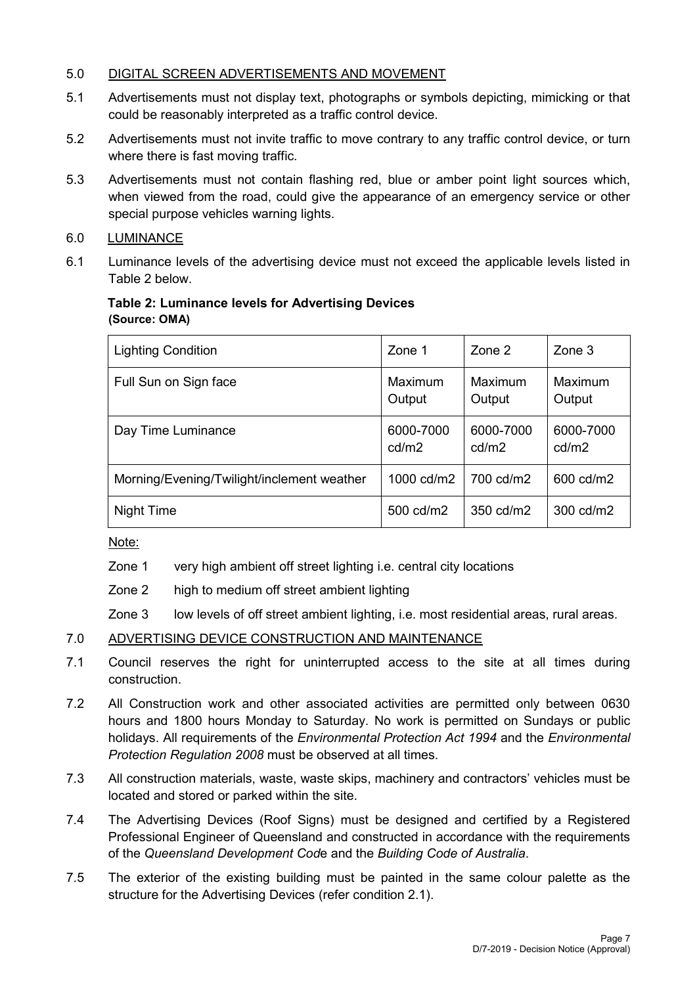## 5.0 DIGITAL SCREEN ADVERTISEMENTS AND MOVEMENT

- 5.1 Advertisements must not display text, photographs or symbols depicting, mimicking or that could be reasonably interpreted as a traffic control device.
- 5.2 Advertisements must not invite traffic to move contrary to any traffic control device, or turn where there is fast moving traffic.
- 5.3 Advertisements must not contain flashing red, blue or amber point light sources which, when viewed from the road, could give the appearance of an emergency service or other special purpose vehicles warning lights.

## 6.0 LUMINANCE

6.1 Luminance levels of the advertising device must not exceed the applicable levels listed in Table 2 below.

## **Table 2: Luminance levels for Advertising Devices (Source: OMA)**

| <b>Lighting Condition</b>                  | Zone 1             | Zone 2             | Zone 3             |
|--------------------------------------------|--------------------|--------------------|--------------------|
| Full Sun on Sign face                      | Maximum<br>Output  | Maximum<br>Output  | Maximum<br>Output  |
| Day Time Luminance                         | 6000-7000<br>cd/m2 | 6000-7000<br>cd/m2 | 6000-7000<br>cd/m2 |
| Morning/Evening/Twilight/inclement weather | 1000 cd/m2         | 700 cd/m2          | 600 cd/m2          |
| Night Time                                 | 500 cd/m2          | 350 cd/m2          | 300 cd/m2          |

Note:

- Zone 1 very high ambient off street lighting i.e. central city locations
- Zone 2 high to medium off street ambient lighting
- Zone 3 low levels of off street ambient lighting, i.e. most residential areas, rural areas.

## 7.0 ADVERTISING DEVICE CONSTRUCTION AND MAINTENANCE

- 7.1 Council reserves the right for uninterrupted access to the site at all times during construction.
- 7.2 All Construction work and other associated activities are permitted only between 0630 hours and 1800 hours Monday to Saturday. No work is permitted on Sundays or public holidays. All requirements of the *Environmental Protection Act 1994* and the *Environmental Protection Regulation 2008* must be observed at all times.
- 7.3 All construction materials, waste, waste skips, machinery and contractors' vehicles must be located and stored or parked within the site.
- 7.4 The Advertising Devices (Roof Signs) must be designed and certified by a Registered Professional Engineer of Queensland and constructed in accordance with the requirements of the *Queensland Development Cod*e and the *Building Code of Australia*.
- 7.5 The exterior of the existing building must be painted in the same colour palette as the structure for the Advertising Devices (refer condition 2.1).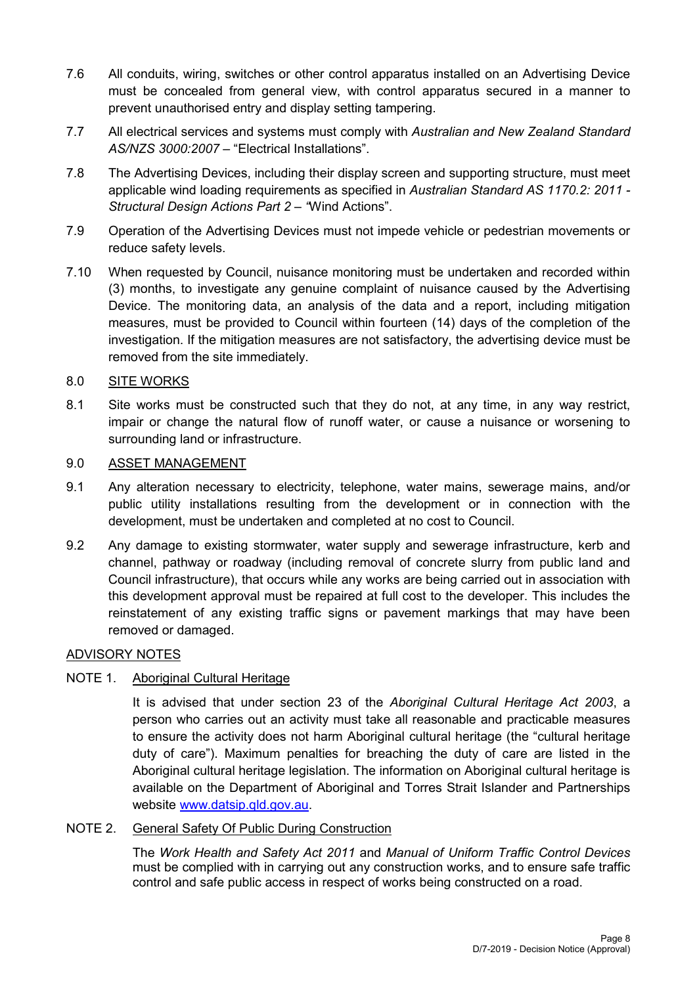- 7.6 All conduits, wiring, switches or other control apparatus installed on an Advertising Device must be concealed from general view, with control apparatus secured in a manner to prevent unauthorised entry and display setting tampering.
- 7.7 All electrical services and systems must comply with *Australian and New Zealand Standard AS/NZS 3000:2007* – "Electrical Installations".
- 7.8 The Advertising Devices, including their display screen and supporting structure, must meet applicable wind loading requirements as specified in *Australian Standard AS 1170.2: 2011 - Structural Design Actions Part 2 – "*Wind Actions".
- 7.9 Operation of the Advertising Devices must not impede vehicle or pedestrian movements or reduce safety levels.
- 7.10 When requested by Council, nuisance monitoring must be undertaken and recorded within (3) months, to investigate any genuine complaint of nuisance caused by the Advertising Device. The monitoring data, an analysis of the data and a report, including mitigation measures, must be provided to Council within fourteen (14) days of the completion of the investigation. If the mitigation measures are not satisfactory, the advertising device must be removed from the site immediately.

## 8.0 SITE WORKS

8.1 Site works must be constructed such that they do not, at any time, in any way restrict, impair or change the natural flow of runoff water, or cause a nuisance or worsening to surrounding land or infrastructure.

## 9.0 ASSET MANAGEMENT

- 9.1 Any alteration necessary to electricity, telephone, water mains, sewerage mains, and/or public utility installations resulting from the development or in connection with the development, must be undertaken and completed at no cost to Council.
- 9.2 Any damage to existing stormwater, water supply and sewerage infrastructure, kerb and channel, pathway or roadway (including removal of concrete slurry from public land and Council infrastructure), that occurs while any works are being carried out in association with this development approval must be repaired at full cost to the developer. This includes the reinstatement of any existing traffic signs or pavement markings that may have been removed or damaged.

## ADVISORY NOTES

## NOTE 1. Aboriginal Cultural Heritage

It is advised that under section 23 of the *Aboriginal Cultural Heritage Act 2003*, a person who carries out an activity must take all reasonable and practicable measures to ensure the activity does not harm Aboriginal cultural heritage (the "cultural heritage duty of care"). Maximum penalties for breaching the duty of care are listed in the Aboriginal cultural heritage legislation. The information on Aboriginal cultural heritage is available on the Department of Aboriginal and Torres Strait Islander and Partnerships website [www.datsip.qld.gov.au.](http://www.datsip.qld.gov.au/)

## NOTE 2. General Safety Of Public During Construction

The *Work Health and Safety Act 2011* and *Manual of Uniform Traffic Control Devices* must be complied with in carrying out any construction works, and to ensure safe traffic control and safe public access in respect of works being constructed on a road.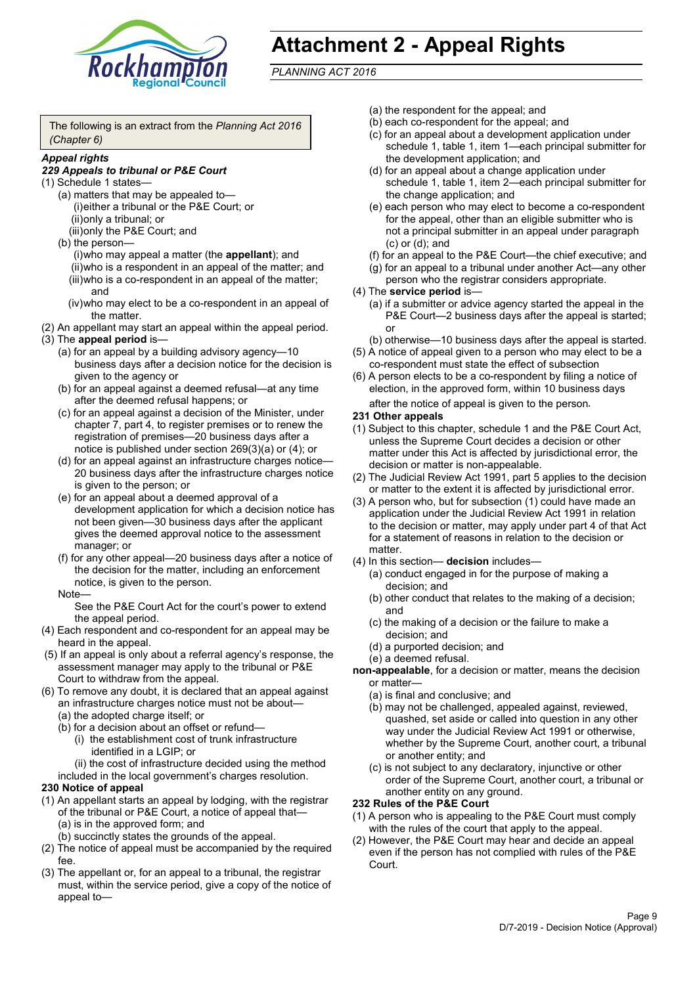

# **Attachment 2 - Appeal Rights**

*PLANNING ACT 2016*

The following is an extract from the *Planning Act 2016 (Chapter 6)*

#### *Appeal rights*

### *229 Appeals to tribunal or P&E Court*

- (1) Schedule 1 states—
	- (a) matters that may be appealed to— (i)either a tribunal or the P&E Court; or (ii)only a tribunal; or (iii)only the P&E Court; and
	- (b) the person—

(i)who may appeal a matter (the **appellant**); and (ii)who is a respondent in an appeal of the matter; and (iii)who is a co-respondent in an appeal of the matter; and

- (iv)who may elect to be a co-respondent in an appeal of the matter.
- (2) An appellant may start an appeal within the appeal period.
- (3) The **appeal period** is—
	- (a) for an appeal by a building advisory agency—10 business days after a decision notice for the decision is given to the agency or
	- (b) for an appeal against a deemed refusal—at any time after the deemed refusal happens; or
	- (c) for an appeal against a decision of the Minister, under chapter 7, part 4, to register premises or to renew the registration of premises—20 business days after a notice is published under section 269(3)(a) or (4); or
	- (d) for an appeal against an infrastructure charges notice— 20 business days after the infrastructure charges notice is given to the person; or
	- (e) for an appeal about a deemed approval of a development application for which a decision notice has not been given—30 business days after the applicant gives the deemed approval notice to the assessment manager; or
	- (f) for any other appeal—20 business days after a notice of the decision for the matter, including an enforcement notice, is given to the person.

#### Note—

See the P&E Court Act for the court's power to extend the appeal period.

- (4) Each respondent and co-respondent for an appeal may be heard in the appeal.
- (5) If an appeal is only about a referral agency's response, the assessment manager may apply to the tribunal or P&E Court to withdraw from the appeal.
- (6) To remove any doubt, it is declared that an appeal against an infrastructure charges notice must not be about—
	- (a) the adopted charge itself; or
	- (b) for a decision about an offset or refund—
		- (i) the establishment cost of trunk infrastructure identified in a LGIP; or
		- (ii) the cost of infrastructure decided using the method

included in the local government's charges resolution.

- **230 Notice of appeal**
- (1) An appellant starts an appeal by lodging, with the registrar of the tribunal or P&E Court, a notice of appeal that—
	- (a) is in the approved form; and
	- (b) succinctly states the grounds of the appeal.
- (2) The notice of appeal must be accompanied by the required fee.
- (3) The appellant or, for an appeal to a tribunal, the registrar must, within the service period, give a copy of the notice of appeal to—
- (a) the respondent for the appeal; and
- (b) each co-respondent for the appeal; and
- (c) for an appeal about a development application under schedule 1, table 1, item 1—each principal submitter for the development application; and
- (d) for an appeal about a change application under schedule 1, table 1, item 2—each principal submitter for the change application; and
- (e) each person who may elect to become a co-respondent for the appeal, other than an eligible submitter who is not a principal submitter in an appeal under paragraph (c) or (d); and
- (f) for an appeal to the P&E Court—the chief executive; and
- (g) for an appeal to a tribunal under another Act—any other person who the registrar considers appropriate.
- (4) The **service period** is—
	- (a) if a submitter or advice agency started the appeal in the P&E Court—2 business days after the appeal is started; or
	- (b) otherwise—10 business days after the appeal is started.
- (5) A notice of appeal given to a person who may elect to be a co-respondent must state the effect of subsection
- (6) A person elects to be a co-respondent by filing a notice of election, in the approved form, within 10 business days after the notice of appeal is given to the person*.*
- **231 Other appeals**
- (1) Subject to this chapter, schedule 1 and the P&E Court Act, unless the Supreme Court decides a decision or other matter under this Act is affected by jurisdictional error, the decision or matter is non-appealable.
- (2) The Judicial Review Act 1991, part 5 applies to the decision or matter to the extent it is affected by jurisdictional error.
- (3) A person who, but for subsection (1) could have made an application under the Judicial Review Act 1991 in relation to the decision or matter, may apply under part 4 of that Act for a statement of reasons in relation to the decision or matter.
- (4) In this section— **decision** includes—
	- (a) conduct engaged in for the purpose of making a decision; and
	- (b) other conduct that relates to the making of a decision; and
	- (c) the making of a decision or the failure to make a decision; and
	- (d) a purported decision; and
	- (e) a deemed refusal.

**non-appealable**, for a decision or matter, means the decision or matter—

- (a) is final and conclusive; and
- (b) may not be challenged, appealed against, reviewed, quashed, set aside or called into question in any other way under the Judicial Review Act 1991 or otherwise, whether by the Supreme Court, another court, a tribunal or another entity; and
- (c) is not subject to any declaratory, injunctive or other order of the Supreme Court, another court, a tribunal or another entity on any ground.

#### **232 Rules of the P&E Court**

- (1) A person who is appealing to the P&E Court must comply with the rules of the court that apply to the appeal.
- (2) However, the P&E Court may hear and decide an appeal even if the person has not complied with rules of the P&E Court.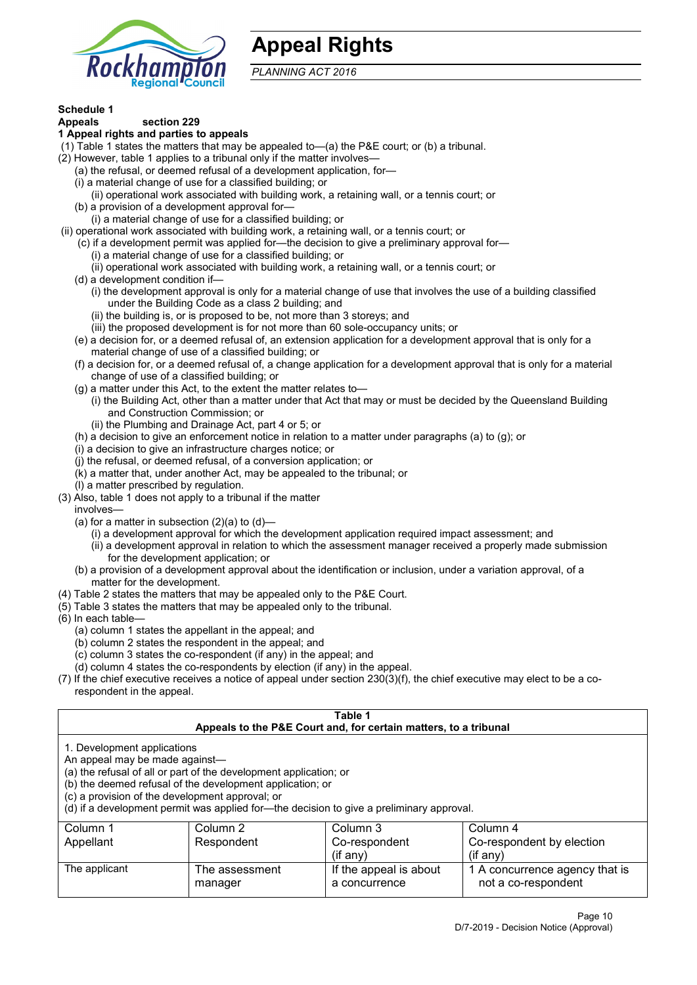

## **Appeal Rights**

*PLANNING ACT 2016*

## **Schedule 1**

#### **Appeals section 229 1 Appeal rights and parties to appeals**

- (1) Table 1 states the matters that may be appealed to—(a) the P&E court; or (b) a tribunal.
- (2) However, table 1 applies to a tribunal only if the matter involves—
	- (a) the refusal, or deemed refusal of a development application, for—
	- (i) a material change of use for a classified building; or
	- (ii) operational work associated with building work, a retaining wall, or a tennis court; or
	- (b) a provision of a development approval for—
	- (i) a material change of use for a classified building; or
- (ii) operational work associated with building work, a retaining wall, or a tennis court; or
	- (c) if a development permit was applied for—the decision to give a preliminary approval for—
		- (i) a material change of use for a classified building; or
		- (ii) operational work associated with building work, a retaining wall, or a tennis court; or
	- (d) a development condition if—
		- (i) the development approval is only for a material change of use that involves the use of a building classified under the Building Code as a class 2 building; and
		- (ii) the building is, or is proposed to be, not more than 3 storeys; and
		- (iii) the proposed development is for not more than 60 sole-occupancy units; or
	- (e) a decision for, or a deemed refusal of, an extension application for a development approval that is only for a material change of use of a classified building; or
	- (f) a decision for, or a deemed refusal of, a change application for a development approval that is only for a material change of use of a classified building; or
	- (g) a matter under this Act, to the extent the matter relates to—
		- (i) the Building Act, other than a matter under that Act that may or must be decided by the Queensland Building and Construction Commission; or
		- (ii) the Plumbing and Drainage Act, part 4 or 5; or
	- (h) a decision to give an enforcement notice in relation to a matter under paragraphs (a) to (g); or
	- (i) a decision to give an infrastructure charges notice; or
	- (j) the refusal, or deemed refusal, of a conversion application; or
	- (k) a matter that, under another Act, may be appealed to the tribunal; or
	- (l) a matter prescribed by regulation.
- (3) Also, table 1 does not apply to a tribunal if the matter

involves—

- (a) for a matter in subsection  $(2)(a)$  to  $(d)$ 
	- (i) a development approval for which the development application required impact assessment; and
	- (ii) a development approval in relation to which the assessment manager received a properly made submission for the development application; or
- (b) a provision of a development approval about the identification or inclusion, under a variation approval, of a matter for the development.
- (4) Table 2 states the matters that may be appealed only to the P&E Court.
- (5) Table 3 states the matters that may be appealed only to the tribunal.
- (6) In each table—
	- (a) column 1 states the appellant in the appeal; and
	- (b) column 2 states the respondent in the appeal; and
	- (c) column 3 states the co-respondent (if any) in the appeal; and
	- (d) column 4 states the co-respondents by election (if any) in the appeal.
- (7) If the chief executive receives a notice of appeal under section 230(3)(f), the chief executive may elect to be a corespondent in the appeal.

| Table 1<br>Appeals to the P&E Court and, for certain matters, to a tribunal                                                                                                                                                                                                                                                                    |                           |                                         |                                                       |  |
|------------------------------------------------------------------------------------------------------------------------------------------------------------------------------------------------------------------------------------------------------------------------------------------------------------------------------------------------|---------------------------|-----------------------------------------|-------------------------------------------------------|--|
| 1. Development applications<br>An appeal may be made against-<br>(a) the refusal of all or part of the development application; or<br>(b) the deemed refusal of the development application; or<br>(c) a provision of the development approval; or<br>(d) if a development permit was applied for-the decision to give a preliminary approval. |                           |                                         |                                                       |  |
| Column 1                                                                                                                                                                                                                                                                                                                                       | Column 2                  | Column 3                                | Column 4                                              |  |
| Appellant                                                                                                                                                                                                                                                                                                                                      | Respondent                | Co-respondent                           | Co-respondent by election                             |  |
| $($ if any $)$<br>$(f \text{an} v)$                                                                                                                                                                                                                                                                                                            |                           |                                         |                                                       |  |
| The applicant                                                                                                                                                                                                                                                                                                                                  | The assessment<br>manager | If the appeal is about<br>a concurrence | 1 A concurrence agency that is<br>not a co-respondent |  |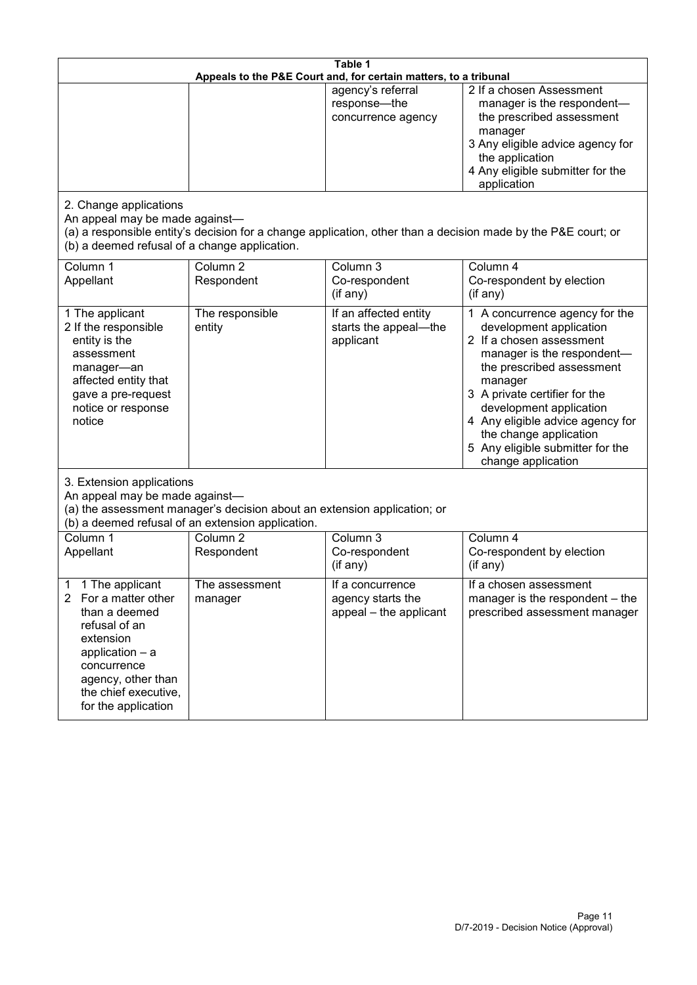| Table 1<br>Appeals to the P&E Court and, for certain matters, to a tribunal                                                                                                                                      |                                   |                                                                 |                                                                                                                                                                                                                                                                                                                                                 |  |
|------------------------------------------------------------------------------------------------------------------------------------------------------------------------------------------------------------------|-----------------------------------|-----------------------------------------------------------------|-------------------------------------------------------------------------------------------------------------------------------------------------------------------------------------------------------------------------------------------------------------------------------------------------------------------------------------------------|--|
|                                                                                                                                                                                                                  |                                   | agency's referral<br>response-the<br>concurrence agency         | 2 If a chosen Assessment<br>manager is the respondent-<br>the prescribed assessment<br>manager<br>3 Any eligible advice agency for<br>the application<br>4 Any eligible submitter for the<br>application                                                                                                                                        |  |
| 2. Change applications<br>An appeal may be made against-<br>(b) a deemed refusal of a change application.                                                                                                        |                                   |                                                                 | (a) a responsible entity's decision for a change application, other than a decision made by the P&E court; or                                                                                                                                                                                                                                   |  |
| Column 1<br>Appellant                                                                                                                                                                                            | Column <sub>2</sub><br>Respondent | Column 3<br>Co-respondent<br>(if any)                           | Column 4<br>Co-respondent by election<br>(if any)                                                                                                                                                                                                                                                                                               |  |
| 1 The applicant<br>2 If the responsible<br>entity is the<br>assessment<br>manager-an<br>affected entity that<br>gave a pre-request<br>notice or response<br>notice                                               | The responsible<br>entity         | If an affected entity<br>starts the appeal-the<br>applicant     | 1 A concurrence agency for the<br>development application<br>2 If a chosen assessment<br>manager is the respondent-<br>the prescribed assessment<br>manager<br>3 A private certifier for the<br>development application<br>4 Any eligible advice agency for<br>the change application<br>5 Any eligible submitter for the<br>change application |  |
| 3. Extension applications<br>An appeal may be made against-<br>(a) the assessment manager's decision about an extension application; or<br>(b) a deemed refusal of an extension application.                     |                                   |                                                                 |                                                                                                                                                                                                                                                                                                                                                 |  |
| Column 1<br>Appellant                                                                                                                                                                                            | Column <sub>2</sub><br>Respondent | Column 3<br>Co-respondent<br>(if any)                           | Column 4<br>Co-respondent by election<br>(if any)                                                                                                                                                                                                                                                                                               |  |
| 1 The applicant<br>1<br>For a matter other<br>$\mathbf{2}$<br>than a deemed<br>refusal of an<br>extension<br>application - a<br>concurrence<br>agency, other than<br>the chief executive,<br>for the application | The assessment<br>manager         | If a concurrence<br>agency starts the<br>appeal - the applicant | If a chosen assessment<br>manager is the respondent – the<br>prescribed assessment manager                                                                                                                                                                                                                                                      |  |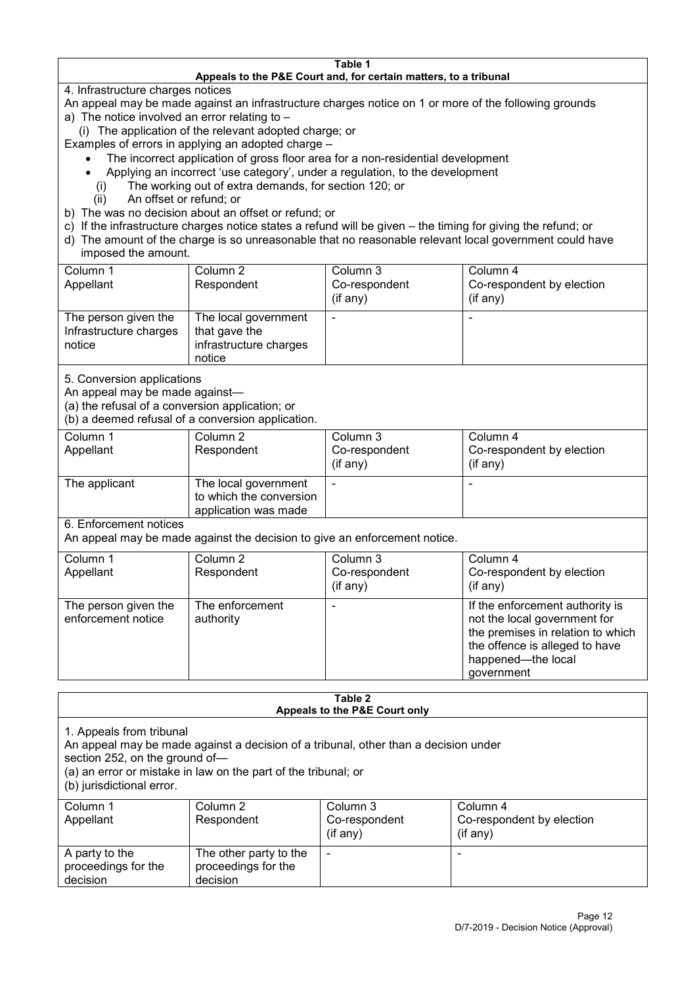#### **Table 1 Appeals to the P&E Court and, for certain matters, to a tribunal**

4. Infrastructure charges notices

- An appeal may be made against an infrastructure charges notice on 1 or more of the following grounds
- a) The notice involved an error relating to
	- (i) The application of the relevant adopted charge; or
- Examples of errors in applying an adopted charge
	- The incorrect application of gross floor area for a non-residential development
	- Applying an incorrect 'use category', under a regulation, to the development
	- (i) The working out of extra demands, for section 120; or
	- (ii) An offset or refund; or
- b) The was no decision about an offset or refund; or
- c) If the infrastructure charges notice states a refund will be given the timing for giving the refund; or
- d) The amount of the charge is so unreasonable that no reasonable relevant local government could have
- imposed the amount.

| Column 1                                                 | Column 2                                                                  | Column 3      | Column 4                  |
|----------------------------------------------------------|---------------------------------------------------------------------------|---------------|---------------------------|
| Appellant                                                | Respondent                                                                | Co-respondent | Co-respondent by election |
|                                                          |                                                                           | (if any)      | (if any)                  |
| The person given the<br>Infrastructure charges<br>notice | The local government<br>that gave the<br>infrastructure charges<br>notice |               | -                         |

5. Conversion applications

An appeal may be made against—

(a) the refusal of a conversion application; or

(b) a deemed refusal of a conversion application.

| Column 1<br>Appellant | Column 2<br>Respondent                                                  | Column 3<br>Co-respondent | Column 4<br>Co-respondent by election |
|-----------------------|-------------------------------------------------------------------------|---------------------------|---------------------------------------|
|                       |                                                                         | $($ if any $)$            | $(if$ any)                            |
| The applicant         | The local government<br>to which the conversion<br>application was made |                           |                                       |

6. Enforcement notices

An appeal may be made against the decision to give an enforcement notice.

| Column 1                                   | Column 2                     | Column 3      | Column 4                                                                                                                                                                   |
|--------------------------------------------|------------------------------|---------------|----------------------------------------------------------------------------------------------------------------------------------------------------------------------------|
| Appellant                                  | Respondent                   | Co-respondent | Co-respondent by election                                                                                                                                                  |
|                                            |                              | (if any)      | (if any)                                                                                                                                                                   |
| The person given the<br>enforcement notice | The enforcement<br>authority |               | If the enforcement authority is<br>not the local government for<br>the premises in relation to which<br>the offence is alleged to have<br>happened-the local<br>government |

#### **Table 2 Appeals to the P&E Court only**

1. Appeals from tribunal

An appeal may be made against a decision of a tribunal, other than a decision under

section 252, on the ground of—

(a) an error or mistake in law on the part of the tribunal; or

(b) jurisdictional error.

| Column 1<br>Appellant                             | Column 2<br>Respondent                                    | Column 3<br>Co-respondent<br>$($ if any $)$ | Column 4<br>Co-respondent by election<br>$($ if any $)$ |
|---------------------------------------------------|-----------------------------------------------------------|---------------------------------------------|---------------------------------------------------------|
| A party to the<br>proceedings for the<br>decision | The other party to the<br>proceedings for the<br>decision | -                                           |                                                         |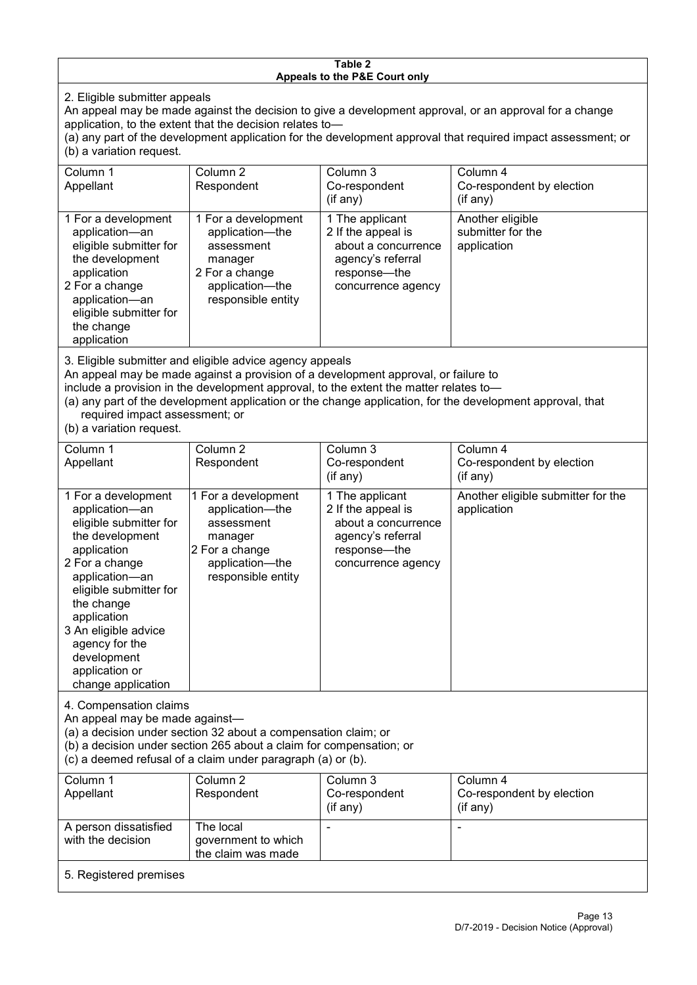#### **Table 2 Appeals to the P&E Court only**

2. Eligible submitter appeals

An appeal may be made against the decision to give a development approval, or an approval for a change application, to the extent that the decision relates to—

(a) any part of the development application for the development approval that required impact assessment; or (b) a variation request.

| Column 1<br>Appellant                                                                                                                                                                                                                                                                                                                                                                  | Column 2<br>Respondent                                                                                                     | Column 3<br>Co-respondent<br>$($ if any $)$                                                                             | Column 4<br>Co-respondent by election<br>(if any)    |  |
|----------------------------------------------------------------------------------------------------------------------------------------------------------------------------------------------------------------------------------------------------------------------------------------------------------------------------------------------------------------------------------------|----------------------------------------------------------------------------------------------------------------------------|-------------------------------------------------------------------------------------------------------------------------|------------------------------------------------------|--|
| 1 For a development<br>application-an<br>eligible submitter for<br>the development<br>application<br>2 For a change<br>application-an<br>eligible submitter for<br>the change<br>application                                                                                                                                                                                           | 1 For a development<br>application-the<br>assessment<br>manager<br>2 For a change<br>application-the<br>responsible entity | 1 The applicant<br>2 If the appeal is<br>about a concurrence<br>agency's referral<br>response-the<br>concurrence agency | Another eligible<br>submitter for the<br>application |  |
| 3. Eligible submitter and eligible advice agency appeals<br>An appeal may be made against a provision of a development approval, or failure to<br>include a provision in the development approval, to the extent the matter relates to-<br>(a) any part of the development application or the change application, for the development approval, that<br>required impact assessment; or |                                                                                                                            |                                                                                                                         |                                                      |  |

(b) a variation request.

| Column 1<br>Appellant                                                                                                                                                                                                                                                                         | Column <sub>2</sub><br>Respondent                                                                                          | Column 3<br>Co-respondent<br>(if any)                                                                                   | Column 4<br>Co-respondent by election<br>$($ if any $)$ |
|-----------------------------------------------------------------------------------------------------------------------------------------------------------------------------------------------------------------------------------------------------------------------------------------------|----------------------------------------------------------------------------------------------------------------------------|-------------------------------------------------------------------------------------------------------------------------|---------------------------------------------------------|
| 1 For a development<br>application-an<br>eligible submitter for<br>the development<br>application<br>2 For a change<br>application-an<br>eligible submitter for<br>the change<br>application<br>3 An eligible advice<br>agency for the<br>development<br>application or<br>change application | 1 For a development<br>application-the<br>assessment<br>manager<br>2 For a change<br>application-the<br>responsible entity | 1 The applicant<br>2 If the appeal is<br>about a concurrence<br>agency's referral<br>response-the<br>concurrence agency | Another eligible submitter for the<br>application       |
| 4. Compensation claims<br>An appeal may be made against-<br>(a) a decision under section 32 about a compensation claim; or<br>(b) a decision under section 265 about a claim for compensation; or<br>(c) a deemed refusal of a claim under paragraph (a) or (b).                              |                                                                                                                            |                                                                                                                         |                                                         |
| Column 1<br>Appellant                                                                                                                                                                                                                                                                         | Column <sub>2</sub><br>Respondent                                                                                          | Column 3<br>Co-respondent<br>(if any)                                                                                   | Column 4<br>Co-respondent by election<br>(if any)       |
| A person dissatisfied<br>with the decision                                                                                                                                                                                                                                                    | The local<br>government to which<br>the claim was made                                                                     |                                                                                                                         |                                                         |

5. Registered premises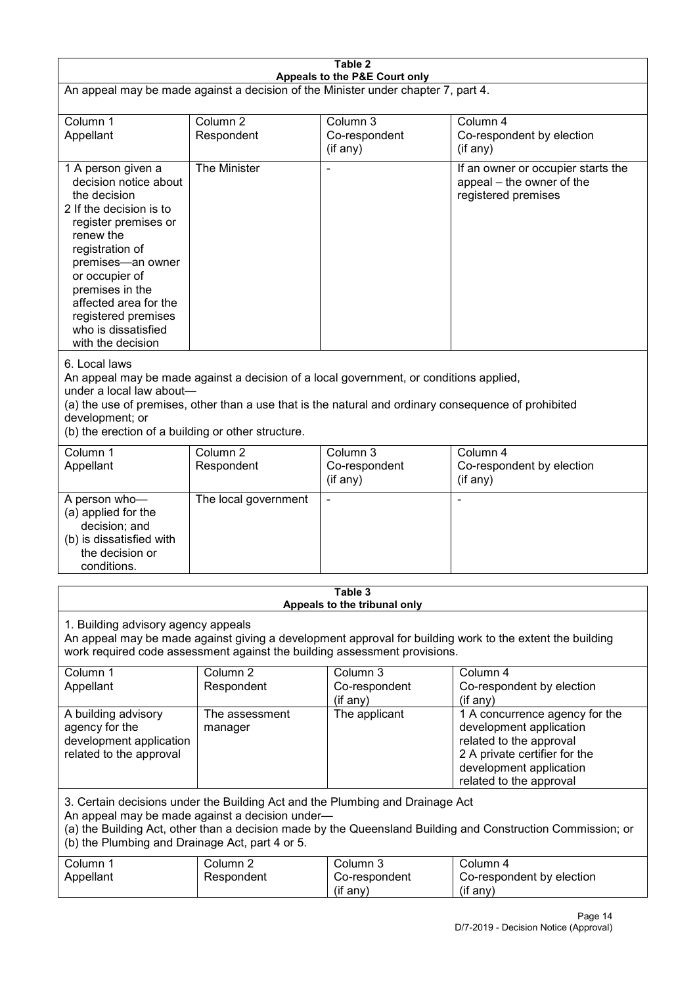| Table 2<br>Appeals to the P&E Court only                                                                                                                                                                                                                                                             |                                                                                                                                                                                                                                                                                  |                                                                           |                                                                                                                                                                             |  |
|------------------------------------------------------------------------------------------------------------------------------------------------------------------------------------------------------------------------------------------------------------------------------------------------------|----------------------------------------------------------------------------------------------------------------------------------------------------------------------------------------------------------------------------------------------------------------------------------|---------------------------------------------------------------------------|-----------------------------------------------------------------------------------------------------------------------------------------------------------------------------|--|
| An appeal may be made against a decision of the Minister under chapter 7, part 4.                                                                                                                                                                                                                    |                                                                                                                                                                                                                                                                                  |                                                                           |                                                                                                                                                                             |  |
| Column 1<br>Appellant                                                                                                                                                                                                                                                                                | Column <sub>2</sub><br>Respondent                                                                                                                                                                                                                                                | Column 3<br>Co-respondent<br>(if any)                                     | Column 4<br>Co-respondent by election<br>(if any)                                                                                                                           |  |
| 1 A person given a<br>decision notice about<br>the decision<br>2 If the decision is to<br>register premises or<br>renew the<br>registration of<br>premises-an owner<br>or occupier of<br>premises in the<br>affected area for the<br>registered premises<br>who is dissatisfied<br>with the decision | The Minister                                                                                                                                                                                                                                                                     |                                                                           | If an owner or occupier starts the<br>appeal – the owner of the<br>registered premises                                                                                      |  |
| 6. Local laws<br>development; or                                                                                                                                                                                                                                                                     | An appeal may be made against a decision of a local government, or conditions applied,<br>under a local law about-<br>(a) the use of premises, other than a use that is the natural and ordinary consequence of prohibited<br>(b) the erection of a building or other structure. |                                                                           |                                                                                                                                                                             |  |
| Column 1<br>Appellant                                                                                                                                                                                                                                                                                | Column <sub>2</sub><br>Respondent                                                                                                                                                                                                                                                | Column 3<br>Co-respondent<br>(if any)                                     | Column 4<br>Co-respondent by election<br>(if any)                                                                                                                           |  |
| A person who-<br>(a) applied for the<br>decision; and<br>(b) is dissatisfied with<br>the decision or<br>conditions.                                                                                                                                                                                  | The local government                                                                                                                                                                                                                                                             |                                                                           |                                                                                                                                                                             |  |
|                                                                                                                                                                                                                                                                                                      |                                                                                                                                                                                                                                                                                  | Table 3<br>Appeals to the tribunal only                                   |                                                                                                                                                                             |  |
| 1. Building advisory agency appeals                                                                                                                                                                                                                                                                  |                                                                                                                                                                                                                                                                                  | work required code assessment against the building assessment provisions. | An appeal may be made against giving a development approval for building work to the extent the building                                                                    |  |
| Column 1<br>Appellant                                                                                                                                                                                                                                                                                | Column <sub>2</sub><br>Respondent                                                                                                                                                                                                                                                | Column 3<br>Co-respondent<br>(if any)                                     | Column 4<br>Co-respondent by election<br>(if any)                                                                                                                           |  |
| A building advisory<br>agency for the<br>development application<br>related to the approval                                                                                                                                                                                                          | The assessment<br>manager                                                                                                                                                                                                                                                        | The applicant                                                             | 1 A concurrence agency for the<br>development application<br>related to the approval<br>2 A private certifier for the<br>development application<br>related to the approval |  |
| 3. Certain decisions under the Building Act and the Plumbing and Drainage Act<br>An appeal may be made against a decision under-<br>(a) the Building Act, other than a decision made by the Queensland Building and Construction Commission; or<br>(b) the Plumbing and Drainage Act, part 4 or 5.   |                                                                                                                                                                                                                                                                                  |                                                                           |                                                                                                                                                                             |  |
| Column 1<br>Appellant                                                                                                                                                                                                                                                                                | Column <sub>2</sub><br>Respondent                                                                                                                                                                                                                                                | Column 3<br>Co-respondent<br>(if any)                                     | Column 4<br>Co-respondent by election<br>(if any)                                                                                                                           |  |